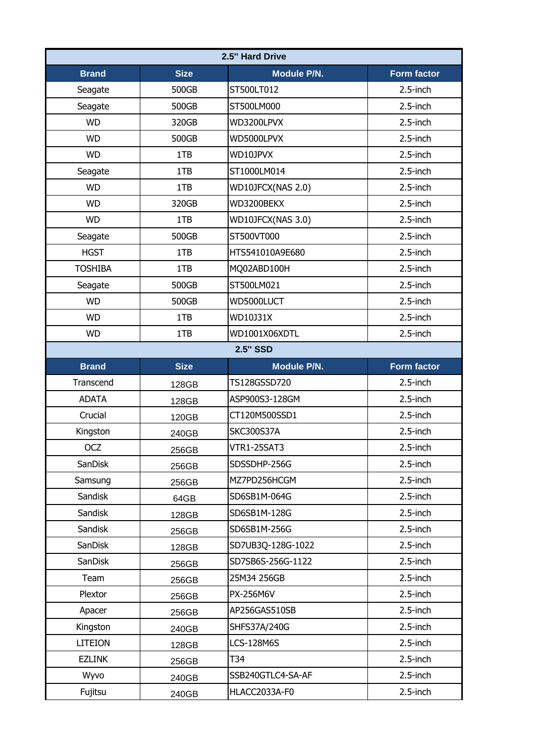| 2.5" Hard Drive |             |                    |                    |  |
|-----------------|-------------|--------------------|--------------------|--|
| <b>Brand</b>    | <b>Size</b> | Module P/N.        | <b>Form factor</b> |  |
| Seagate         | 500GB       | ST500LT012         | 2.5-inch           |  |
| Seagate         | 500GB       | ST500LM000         | $2.5$ -inch        |  |
| <b>WD</b>       | 320GB       | WD3200LPVX         | $2.5$ -inch        |  |
| <b>WD</b>       | 500GB       | WD5000LPVX         | $2.5$ -inch        |  |
| <b>WD</b>       | 1TB         | WD10JPVX           | $2.5$ -inch        |  |
| Seagate         | 1TB         | ST1000LM014        | 2.5-inch           |  |
| <b>WD</b>       | 1TB         | WD10JFCX(NAS 2.0)  | $2.5$ -inch        |  |
| <b>WD</b>       | 320GB       | WD3200BEKX         | 2.5-inch           |  |
| <b>WD</b>       | 1TB         | WD10JFCX(NAS 3.0)  | $2.5$ -inch        |  |
| Seagate         | 500GB       | ST500VT000         | $2.5$ -inch        |  |
| <b>HGST</b>     | 1TB         | HTS541010A9E680    | $2.5$ -inch        |  |
| <b>TOSHIBA</b>  | 1TB         | MQ02ABD100H        | $2.5$ -inch        |  |
| Seagate         | 500GB       | ST500LM021         | 2.5-inch           |  |
| <b>WD</b>       | 500GB       | WD5000LUCT         | $2.5$ -inch        |  |
| <b>WD</b>       | 1TB         | WD10J31X           | $2.5$ -inch        |  |
| <b>WD</b>       | 1TB         | WD1001X06XDTL      | 2.5-inch           |  |
|                 |             | <b>2.5" SSD</b>    |                    |  |
| <b>Brand</b>    | <b>Size</b> | Module P/N.        | Form factor        |  |
| Transcend       | 128GB       | TS128GSSD720       | 2.5-inch           |  |
| <b>ADATA</b>    | 128GB       | ASP900S3-128GM     | $2.5$ -inch        |  |
| Crucial         | 120GB       | CT120M500SSD1      | $2.5$ -inch        |  |
| Kingston        | 240GB       | <b>SKC300S37A</b>  | 2.5-inch           |  |
| <b>OCZ</b>      | 256GB       | <b>VTR1-25SAT3</b> | $2.5$ -inch        |  |
| SanDisk         | 256GB       | SDSSDHP-256G       | $2.5$ -inch        |  |
| Samsung         | 256GB       | MZ7PD256HCGM       | $2.5$ -inch        |  |
| Sandisk         | 64GB        | SD6SB1M-064G       | 2.5-inch           |  |
| Sandisk         | 128GB       | SD6SB1M-128G       | $2.5$ -inch        |  |
| Sandisk         | 256GB       | SD6SB1M-256G       | $2.5$ -inch        |  |
| SanDisk         | 128GB       | SD7UB3Q-128G-1022  | $2.5$ -inch        |  |
| SanDisk         | 256GB       | SD7SB6S-256G-1122  | $2.5$ -inch        |  |
| Team            | 256GB       | 25M34 256GB        | 2.5-inch           |  |
| Plextor         | 256GB       | PX-256M6V          | $2.5$ -inch        |  |
| Apacer          | 256GB       | AP256GAS510SB      | 2.5-inch           |  |
| Kingston        | 240GB       | SHFS37A/240G       | $2.5$ -inch        |  |
| <b>LITEION</b>  | 128GB       | <b>LCS-128M6S</b>  | $2.5$ -inch        |  |
| <b>EZLINK</b>   | 256GB       | T34                | $2.5$ -inch        |  |
| Wyvo            | 240GB       | SSB240GTLC4-SA-AF  | $2.5$ -inch        |  |
| Fujitsu         | 240GB       | HLACC2033A-F0      | $2.5$ -inch        |  |